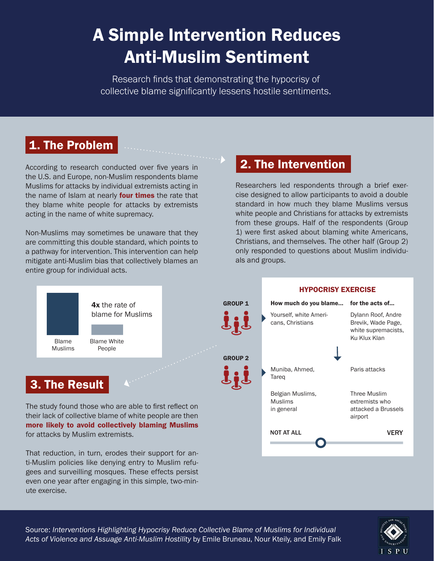## A Simple Intervention Reduces Anti-Muslim Sentiment

Research finds that demonstrating the hypocrisy of collective blame significantly lessens hostile sentiments.

andromania (

## 1. The Problem

According to research conducted over five years in the U.S. and Europe, non-Muslim respondents blame Muslims for attacks by individual extremists acting in the name of Islam at nearly **four times** the rate that they blame white people for attacks by extremists acting in the name of white supremacy.

Non-Muslims may sometimes be unaware that they are committing this double standard, which points to a pathway for intervention. This intervention can help mitigate anti-Muslim bias that collectively blames an entire group for individual acts.

even one year after engaging in this simple, two-min-

ute exercise.

## 2. The Intervention

Researchers led respondents through a brief exercise designed to allow participants to avoid a double standard in how much they blame Muslims versus white people and Christians for attacks by extremists from these groups. Half of the respondents (Group 1) were first asked about blaming white Americans, Christians, and themselves. The other half (Group 2) only responded to questions about Muslim individuals and groups.



Source: *Interventions Highlighting Hypocrisy Reduce Collective Blame of Muslims for Individual Acts of Violence and Assuage Anti-Muslim Hostility* by Emile Bruneau, Nour Kteily, and Emily Falk